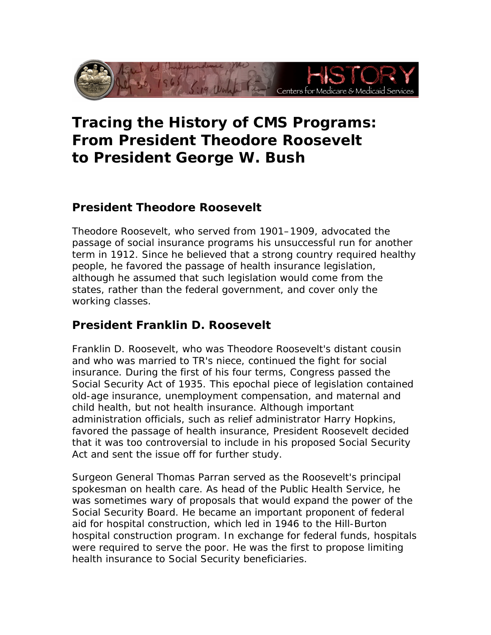

# to President George W. Bush Tracing the History of CMS Programs:<br>From President Theodore Roosevelt<br>to President George W. Bush

## **President Theodore Roosevelt**

 working classes. Theodore Roosevelt, who served from 1901–1909, advocated the passage of social insurance programs his unsuccessful run for another term in 1912. Since he believed that a strong country required healthy people, he favored the passage of health insurance legislation, although he assumed that such legislation would come from the states, rather than the federal government, and cover only the

### **President Franklin D. Roosevelt**

Act and sent the issue off for further study. Franklin D. Roosevelt, who was Theodore Roosevelt's distant cousin and who was married to TR's niece, continued the fight for social insurance. During the first of his four terms, Congress passed the Social Security Act of 1935. This epochal piece of legislation contained old-age insurance, unemployment compensation, and maternal and child health, but not health insurance. Although important administration officials, such as relief administrator Harry Hopkins, favored the passage of health insurance, President Roosevelt decided that it was too controversial to include in his proposed Social Security

 was sometimes wary of proposals that would expand the power of the health insurance to Social Security beneficiaries. Surgeon General Thomas Parran served as the Roosevelt's principal spokesman on health care. As head of the Public Health Service, he Social Security Board. He became an important proponent of federal aid for hospital construction, which led in 1946 to the Hill-Burton hospital construction program. In exchange for federal funds, hospitals were required to serve the poor. He was the first to propose limiting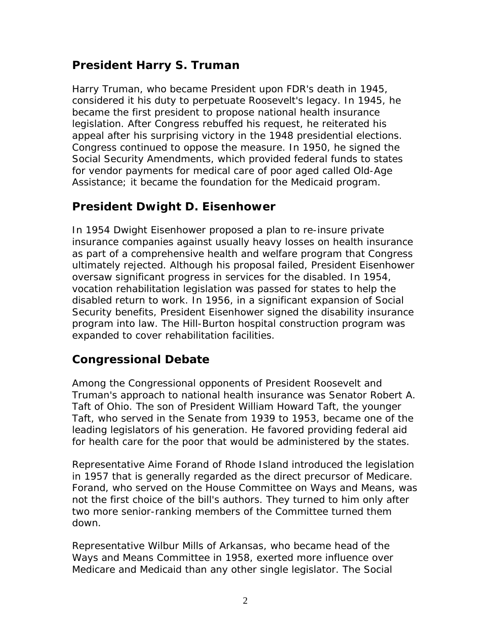## **President Harry S. Truman**

 Assistance; it became the foundation for the Medicaid program. Harry Truman, who became President upon FDR's death in 1945, considered it his duty to perpetuate Roosevelt's legacy. In 1945, he became the first president to propose national health insurance legislation. After Congress rebuffed his request, he reiterated his appeal after his surprising victory in the 1948 presidential elections. Congress continued to oppose the measure. In 1950, he signed the Social Security Amendments, which provided federal funds to states for vendor payments for medical care of poor aged called Old-Age

### **President Dwight D. Eisenhower**

 expanded to cover rehabilitation facilities. In 1954 Dwight Eisenhower proposed a plan to re-insure private insurance companies against usually heavy losses on health insurance as part of a comprehensive health and welfare program that Congress ultimately rejected. Although his proposal failed, President Eisenhower oversaw significant progress in services for the disabled. In 1954, vocation rehabilitation legislation was passed for states to help the disabled return to work. In 1956, in a significant expansion of Social Security benefits, President Eisenhower signed the disability insurance program into law. The Hill-Burton hospital construction program was

#### **Congressional Debate**

 Truman's approach to national health insurance was Senator Robert A. for health care for the poor that would be administered by the states. Among the Congressional opponents of President Roosevelt and Taft of Ohio. The son of President William Howard Taft, the younger Taft, who served in the Senate from 1939 to 1953, became one of the leading legislators of his generation. He favored providing federal aid

down. Representative Aime Forand of Rhode Island introduced the legislation in 1957 that is generally regarded as the direct precursor of Medicare. Forand, who served on the House Committee on Ways and Means, was not the first choice of the bill's authors. They turned to him only after two more senior-ranking members of the Committee turned them

 Ways and Means Committee in 1958, exerted more influence over Representative Wilbur Mills of Arkansas, who became head of the Medicare and Medicaid than any other single legislator. The Social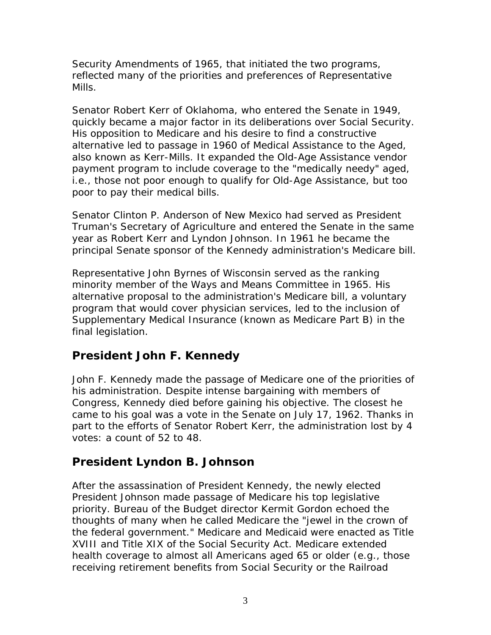Security Amendments of 1965, that initiated the two programs, reflected many of the priorities and preferences of Representative Mills.

Senator Robert Kerr of Oklahoma, who entered the Senate in 1949, quickly became a major factor in its deliberations over Social Security. His opposition to Medicare and his desire to find a constructive alternative led to passage in 1960 of Medical Assistance to the Aged, also known as Kerr-Mills. It expanded the Old-Age Assistance vendor payment program to include coverage to the "medically needy" aged, i.e., those not poor enough to qualify for Old-Age Assistance, but too poor to pay their medical bills.

Senator Clinton P. Anderson of New Mexico had served as President Truman's Secretary of Agriculture and entered the Senate in the same year as Robert Kerr and Lyndon Johnson. In 1961 he became the

principal Senate sponsor of the Kennedy administration's Medicare bill.<br>Representative John Byrnes of Wisconsin served as the ranking minority member of the Ways and Means Committee in 1965. His alternative proposal to the administration's Medicare bill, a voluntary program that would cover physician services, led to the inclusion of Supplementary Medical Insurance (known as Medicare Part B) in the final legislation.

### **President John F. Kennedy**

John F. Kennedy made the passage of Medicare one of the priorities of his administration. Despite intense bargaining with members of Congress, Kennedy died before gaining his objective. The closest he came to his goal was a vote in the Senate on July 17, 1962. Thanks in part to the efforts of Senator Robert Kerr, the administration lost by 4 votes: a count of 52 to 48.

### **President Lyndon B. Johnson**

 thoughts of many when he called Medicare the "jewel in the crown of After the assassination of President Kennedy, the newly elected President Johnson made passage of Medicare his top legislative priority. Bureau of the Budget director Kermit Gordon echoed the the federal government." Medicare and Medicaid were enacted as Title XVIII and Title XIX of the Social Security Act. Medicare extended health coverage to almost all Americans aged 65 or older (e.g., those receiving retirement benefits from Social Security or the Railroad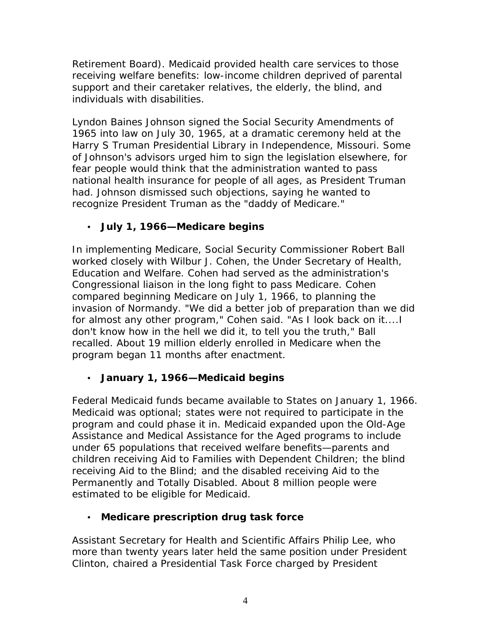Retirement Board). Medicaid provided health care services to those receiving welfare benefits: low-income children deprived of parental support and their caretaker relatives, the elderly, the blind, and individuals with disabilities.

 national health insurance for people of all ages, as President Truman recognize President Truman as the "daddy of Medicare." Lyndon Baines Johnson signed the Social Security Amendments of 1965 into law on July 30, 1965, at a dramatic ceremony held at the Harry S Truman Presidential Library in Independence, Missouri. Some of Johnson's advisors urged him to sign the legislation elsewhere, for fear people would think that the administration wanted to pass had. Johnson dismissed such objections, saying he wanted to

• **July 1, 1966—Medicare begins** 

 program began 11 months after enactment. In implementing Medicare, Social Security Commissioner Robert Ball worked closely with Wilbur J. Cohen, the Under Secretary of Health, Education and Welfare. Cohen had served as the administration's Congressional liaison in the long fight to pass Medicare. Cohen compared beginning Medicare on July 1, 1966, to planning the invasion of Normandy. "We did a better job of preparation than we did for almost any other program," Cohen said. "As I look back on it....I don't know how in the hell we did it, to tell you the truth," Ball recalled. About 19 million elderly enrolled in Medicare when the

• **January 1, 1966—Medicaid begins** 

Federal Medicaid funds became available to States on January 1, 1966. Medicaid was optional; states were not required to participate in the program and could phase it in. Medicaid expanded upon the Old-Age Assistance and Medical Assistance for the Aged programs to include under 65 populations that received welfare benefits—parents and children receiving Aid to Families with Dependent Children; the blind receiving Aid to the Blind; and the disabled receiving Aid to the Permanently and Totally Disabled. About 8 million people were estimated to be eligible for Medicaid.

• **Medicare prescription drug task force** 

Assistant Secretary for Health and Scientific Affairs Philip Lee, who more than twenty years later held the same position under President Clinton, chaired a Presidential Task Force charged by President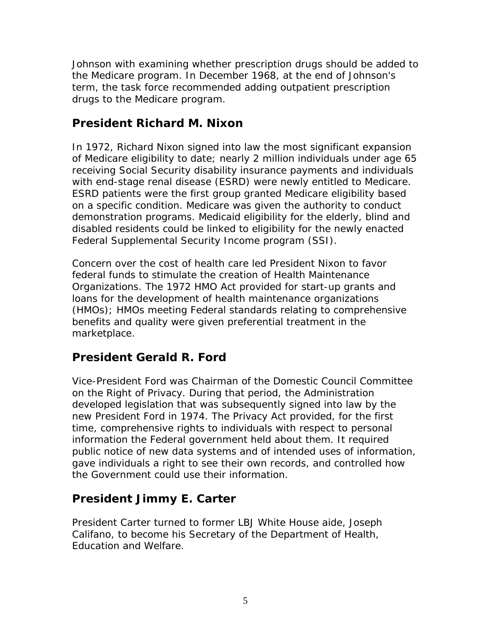drugs to the Medicare program. Johnson with examining whether prescription drugs should be added to the Medicare program. In December 1968, at the end of Johnson's term, the task force recommended adding outpatient prescription

### **President Richard M. Nixon**

In 1972, Richard Nixon signed into law the most significant expansion of Medicare eligibility to date; nearly 2 million individuals under age 65 receiving Social Security disability insurance payments and individuals with end-stage renal disease (ESRD) were newly entitled to Medicare. ESRD patients were the first group granted Medicare eligibility based on a specific condition. Medicare was given the authority to conduct demonstration programs. Medicaid eligibility for the elderly, blind and disabled residents could be linked to eligibility for the newly enacted Federal Supplemental Security Income program (SSI).

 Concern over the cost of health care led President Nixon to favor marketplace. federal funds to stimulate the creation of Health Maintenance Organizations. The 1972 HMO Act provided for start-up grants and loans for the development of health maintenance organizations (HMOs); HMOs meeting Federal standards relating to comprehensive benefits and quality were given preferential treatment in the

### **President Gerald R. Ford**

Vice-President Ford was Chairman of the Domestic Council Committee on the Right of Privacy. During that period, the Administration developed legislation that was subsequently signed into law by the new President Ford in 1974. The Privacy Act provided, for the first time, comprehensive rights to individuals with respect to personal information the Federal government held about them. It required public notice of new data systems and of intended uses of information, gave individuals a right to see their own records, and controlled how the Government could use their information.

### **President Jimmy E. Carter**

President Carter turned to former LBJ White House aide, Joseph Califano, to become his Secretary of the Department of Health, Education and Welfare.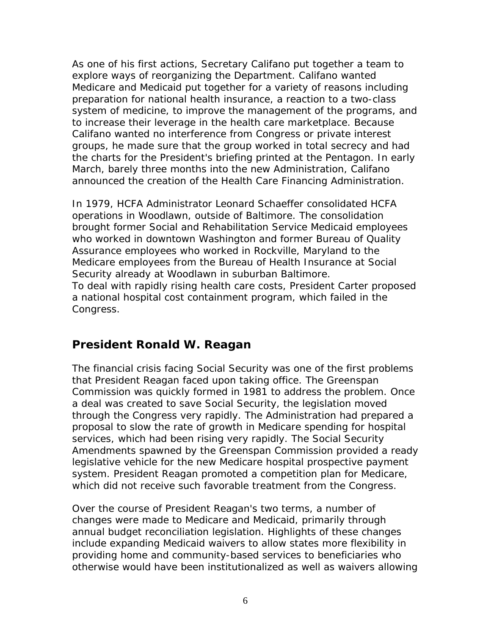announced the creation of the Health Care Financing Administration. As one of his first actions, Secretary Califano put together a team to explore ways of reorganizing the Department. Califano wanted Medicare and Medicaid put together for a variety of reasons including preparation for national health insurance, a reaction to a two-class system of medicine, to improve the management of the programs, and to increase their leverage in the health care marketplace. Because Califano wanted no interference from Congress or private interest groups, he made sure that the group worked in total secrecy and had the charts for the President's briefing printed at the Pentagon. In early March, barely three months into the new Administration, Califano

 who worked in downtown Washington and former Bureau of Quality Security already at Woodlawn in suburban Baltimore. In 1979, HCFA Administrator Leonard Schaeffer consolidated HCFA operations in Woodlawn, outside of Baltimore. The consolidation brought former Social and Rehabilitation Service Medicaid employees Assurance employees who worked in Rockville, Maryland to the Medicare employees from the Bureau of Health Insurance at Social To deal with rapidly rising health care costs, President Carter proposed a national hospital cost containment program, which failed in the Congress.

### **President Ronald W. Reagan**

 proposal to slow the rate of growth in Medicare spending for hospital The financial crisis facing Social Security was one of the first problems that President Reagan faced upon taking office. The Greenspan Commission was quickly formed in 1981 to address the problem. Once a deal was created to save Social Security, the legislation moved through the Congress very rapidly. The Administration had prepared a services, which had been rising very rapidly. The Social Security Amendments spawned by the Greenspan Commission provided a ready legislative vehicle for the new Medicare hospital prospective payment system. President Reagan promoted a competition plan for Medicare,

which did not receive such favorable treatment from the Congress.<br>Over the course of President Reagan's two terms, a number of changes were made to Medicare and Medicaid, primarily through annual budget reconciliation legislation. Highlights of these changes include expanding Medicaid waivers to allow states more flexibility in providing home and community-based services to beneficiaries who otherwise would have been institutionalized as well as waivers allowing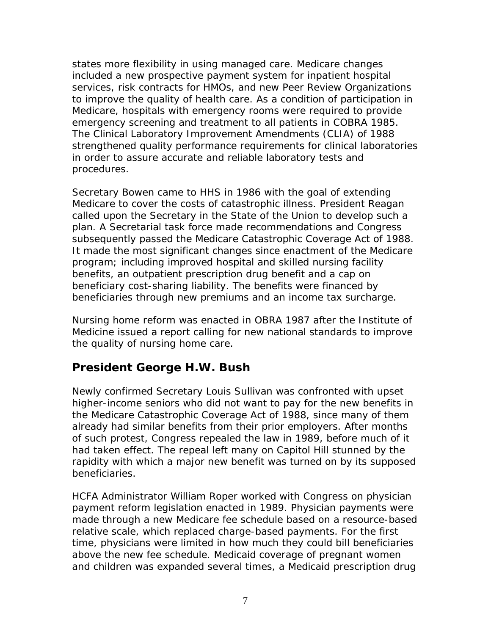to improve the quality of health care. As a condition of participation in procedures. states more flexibility in using managed care. Medicare changes included a new prospective payment system for inpatient hospital services, risk contracts for HMOs, and new Peer Review Organizations Medicare, hospitals with emergency rooms were required to provide emergency screening and treatment to all patients in COBRA 1985. The Clinical Laboratory Improvement Amendments (CLIA) of 1988 strengthened quality performance requirements for clinical laboratories in order to assure accurate and reliable laboratory tests and

beneficiaries through new premiums and an income tax surcharge. Secretary Bowen came to HHS in 1986 with the goal of extending Medicare to cover the costs of catastrophic illness. President Reagan called upon the Secretary in the State of the Union to develop such a plan. A Secretarial task force made recommendations and Congress subsequently passed the Medicare Catastrophic Coverage Act of 1988. It made the most significant changes since enactment of the Medicare program; including improved hospital and skilled nursing facility benefits, an outpatient prescription drug benefit and a cap on beneficiary cost-sharing liability. The benefits were financed by

 the quality of nursing home care. Nursing home reform was enacted in OBRA 1987 after the Institute of Medicine issued a report calling for new national standards to improve

#### **President George H.W. Bush**

Newly confirmed Secretary Louis Sullivan was confronted with upset higher-income seniors who did not want to pay for the new benefits in the Medicare Catastrophic Coverage Act of 1988, since many of them already had similar benefits from their prior employers. After months of such protest, Congress repealed the law in 1989, before much of it had taken effect. The repeal left many on Capitol Hill stunned by the rapidity with which a major new benefit was turned on by its supposed beneficiaries.

 above the new fee schedule. Medicaid coverage of pregnant women HCFA Administrator William Roper worked with Congress on physician payment reform legislation enacted in 1989. Physician payments were made through a new Medicare fee schedule based on a resource-based relative scale, which replaced charge-based payments. For the first time, physicians were limited in how much they could bill beneficiaries and children was expanded several times, a Medicaid prescription drug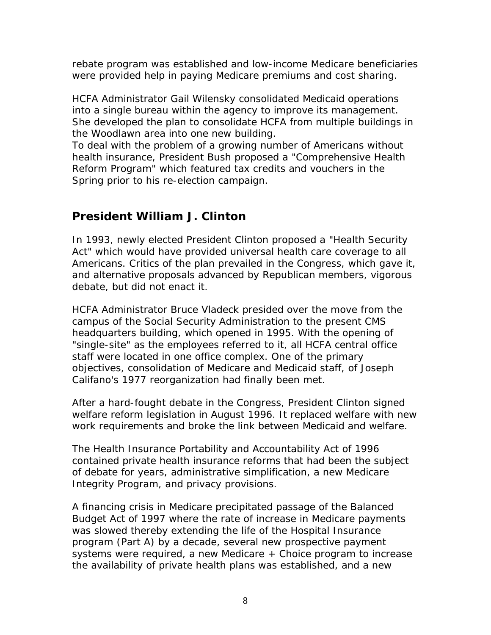were provided help in paying Medicare premiums and cost sharing. rebate program was established and low-income Medicare beneficiaries

HCFA Administrator Gail Wilensky consolidated Medicaid operations into a single bureau within the agency to improve its management. She developed the plan to consolidate HCFA from multiple buildings in the Woodlawn area into one new building.

 Reform Program" which featured tax credits and vouchers in the To deal with the problem of a growing number of Americans without health insurance, President Bush proposed a "Comprehensive Health Spring prior to his re-election campaign.

## **President William J. Clinton**

In 1993, newly elected President Clinton proposed a "Health Security Act" which would have provided universal health care coverage to all Americans. Critics of the plan prevailed in the Congress, which gave it, and alternative proposals advanced by Republican members, vigorous debate, but did not enact it.

 headquarters building, which opened in 1995. With the opening of Califano's 1977 reorganization had finally been met. HCFA Administrator Bruce Vladeck presided over the move from the campus of the Social Security Administration to the present CMS "single-site" as the employees referred to it, all HCFA central office staff were located in one office complex. One of the primary objectives, consolidation of Medicare and Medicaid staff, of Joseph

After a hard-fought debate in the Congress, President Clinton signed welfare reform legislation in August 1996. It replaced welfare with new

work requirements and broke the link between Medicaid and welfare.<br>The Health Insurance Portability and Accountability Act of 1996 Integrity Program, and privacy provisions. contained private health insurance reforms that had been the subject of debate for years, administrative simplification, a new Medicare

A financing crisis in Medicare precipitated passage of the Balanced Budget Act of 1997 where the rate of increase in Medicare payments was slowed thereby extending the life of the Hospital Insurance program (Part A) by a decade, several new prospective payment systems were required, a new Medicare + Choice program to increase the availability of private health plans was established, and a new